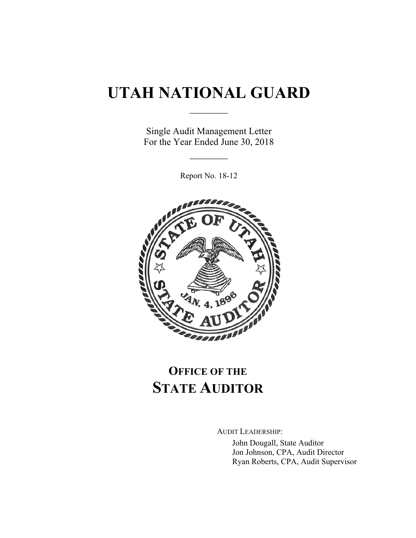# **UTAH NATIONAL GUARD**

 $\frac{1}{2}$ 

Single Audit Management Letter For the Year Ended June 30, 2018

 $\frac{1}{2}$ 

Report No. 18-12



## **OFFICE OF THE STATE AUDITOR**

AUDIT LEADERSHIP: John Dougall, State Auditor Jon Johnson, CPA, Audit Director Ryan Roberts, CPA, Audit Supervisor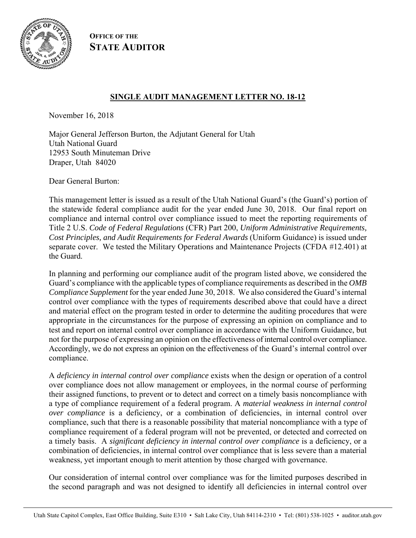

**OFFICE OF THE STATE AUDITOR**

## **SINGLE AUDIT MANAGEMENT LETTER NO. 18-12**

November 16, 2018

Major General Jefferson Burton, the Adjutant General for Utah Utah National Guard 12953 South Minuteman Drive Draper, Utah 84020

Dear General Burton:

This management letter is issued as a result of the Utah National Guard's (the Guard's) portion of the statewide federal compliance audit for the year ended June 30, 2018. Our final report on compliance and internal control over compliance issued to meet the reporting requirements of Title 2 U.S. *Code of Federal Regulations* (CFR) Part 200, *Uniform Administrative Requirements, Cost Principles, and Audit Requirements for Federal Awards* (Uniform Guidance) is issued under separate cover. We tested the Military Operations and Maintenance Projects (CFDA #12.401) at the Guard.

In planning and performing our compliance audit of the program listed above, we considered the Guard's compliance with the applicable types of compliance requirements as described in the *OMB Compliance Supplement* for the year ended June 30, 2018. We also considered the Guard's internal control over compliance with the types of requirements described above that could have a direct and material effect on the program tested in order to determine the auditing procedures that were appropriate in the circumstances for the purpose of expressing an opinion on compliance and to test and report on internal control over compliance in accordance with the Uniform Guidance, but not for the purpose of expressing an opinion on the effectiveness of internal control over compliance. Accordingly, we do not express an opinion on the effectiveness of the Guard's internal control over compliance.

A *deficiency in internal control over compliance* exists when the design or operation of a control over compliance does not allow management or employees, in the normal course of performing their assigned functions, to prevent or to detect and correct on a timely basis noncompliance with a type of compliance requirement of a federal program. A *material weakness in internal control over compliance* is a deficiency, or a combination of deficiencies, in internal control over compliance, such that there is a reasonable possibility that material noncompliance with a type of compliance requirement of a federal program will not be prevented, or detected and corrected on a timely basis. A *significant deficiency in internal control over compliance* is a deficiency, or a combination of deficiencies, in internal control over compliance that is less severe than a material weakness, yet important enough to merit attention by those charged with governance.

Our consideration of internal control over compliance was for the limited purposes described in the second paragraph and was not designed to identify all deficiencies in internal control over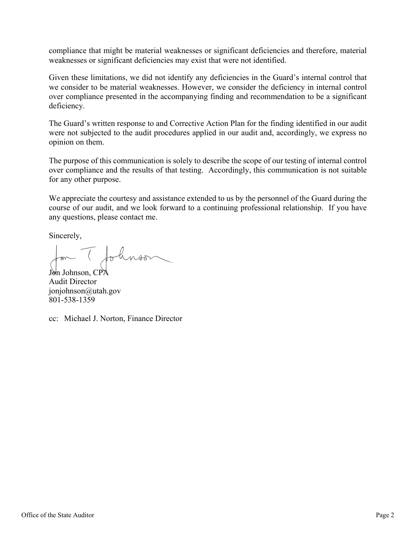compliance that might be material weaknesses or significant deficiencies and therefore, material weaknesses or significant deficiencies may exist that were not identified.

Given these limitations, we did not identify any deficiencies in the Guard's internal control that we consider to be material weaknesses. However, we consider the deficiency in internal control over compliance presented in the accompanying finding and recommendation to be a significant deficiency.

The Guard's written response to and Corrective Action Plan for the finding identified in our audit were not subjected to the audit procedures applied in our audit and, accordingly, we express no opinion on them.

The purpose of this communication is solely to describe the scope of our testing of internal control over compliance and the results of that testing. Accordingly, this communication is not suitable for any other purpose.

We appreciate the courtesy and assistance extended to us by the personnel of the Guard during the course of our audit, and we look forward to a continuing professional relationship. If you have any questions, please contact me.

Sincerely,

Jon Johnson, CPA Audit Director jonjohnson@utah.gov 801-538-1359

cc: Michael J. Norton, Finance Director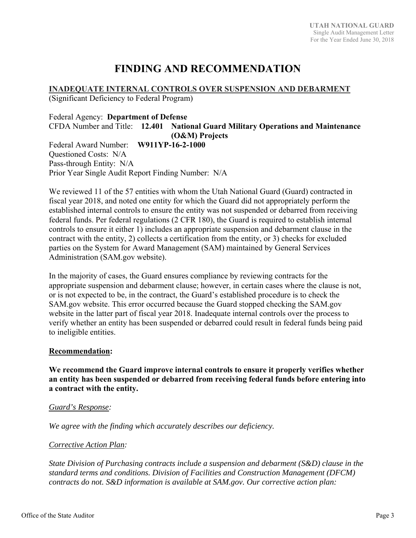## **FINDING AND RECOMMENDATION**

**INADEQUATE INTERNAL CONTROLS OVER SUSPENSION AND DEBARMENT** 

(Significant Deficiency to Federal Program)

Federal Agency: **Department of Defense**  CFDA Number and Title: **12.401 National Guard Military Operations and Maintenance (O&M) Projects**  Federal Award Number: **W911YP-16-2-1000**  Questioned Costs: N/A Pass-through Entity: N/A Prior Year Single Audit Report Finding Number: N/A

We reviewed 11 of the 57 entities with whom the Utah National Guard (Guard) contracted in fiscal year 2018, and noted one entity for which the Guard did not appropriately perform the established internal controls to ensure the entity was not suspended or debarred from receiving federal funds. Per federal regulations (2 CFR 180), the Guard is required to establish internal controls to ensure it either 1) includes an appropriate suspension and debarment clause in the contract with the entity, 2) collects a certification from the entity, or 3) checks for excluded parties on the System for Award Management (SAM) maintained by General Services Administration (SAM.gov website).

In the majority of cases, the Guard ensures compliance by reviewing contracts for the appropriate suspension and debarment clause; however, in certain cases where the clause is not, or is not expected to be, in the contract, the Guard's established procedure is to check the SAM.gov website. This error occurred because the Guard stopped checking the SAM.gov website in the latter part of fiscal year 2018. Inadequate internal controls over the process to verify whether an entity has been suspended or debarred could result in federal funds being paid to ineligible entities.

### **Recommendation:**

**We recommend the Guard improve internal controls to ensure it properly verifies whether an entity has been suspended or debarred from receiving federal funds before entering into a contract with the entity.** 

### *Guard's Response:*

*We agree with the finding which accurately describes our deficiency.* 

## *Corrective Action Plan:*

*State Division of Purchasing contracts include a suspension and debarment (S&D) clause in the standard terms and conditions. Division of Facilities and Construction Management (DFCM) contracts do not. S&D information is available at SAM.gov. Our corrective action plan:*